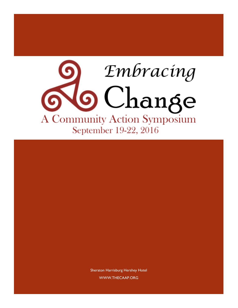

Sheraton Harrisburg Hershey Hotel WWW.THECAAP.ORG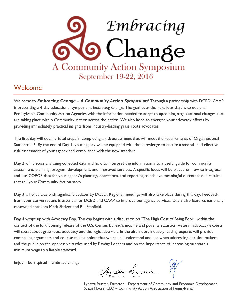

## Welcome

Welcome to *Embracing Change – A Community Action Symposium*! Through a partnership with DCED, CAAP is presenting a 4-day educational symposium, *Embracing Change*. The goal over the next four days is to equip all Pennsylvania Community Action Agencies with the information needed to adapt to upcoming organizational changes that are taking place within Community Action across the nation. We also hope to energize your advocacy efforts by providing immediately practical insights from industry-leading grass roots advocates.

The first day will detail critical steps in completing a risk assessment that will meet the requirements of Organizational Standard 4.6. By the end of Day 1, your agency will be equipped with the knowledge to ensure a smooth and effective risk assessment of your agency and compliance with the new standard.

Day 2 will discuss analyzing collected data and how to interpret the information into a useful guide for community assessment, planning, program development, and improved services. A specific focus will be placed on how to integrate and use COPOS data for your agency's planning, operations, and reporting to achieve meaningful outcomes and results that tell your Community Action story.

Day 3 is Policy Day with significant updates by DCED. Regional meetings will also take place during this day. Feedback from your conversations is essential for DCED and CAAP to improve our agency services. Day 3 also features nationally renowned speakers Mark Shriver and Bill Stanfield.

Day 4 wraps up with Advocacy Day. The day begins with a discussion on "The High Cost of Being Poor" within the context of the forthcoming release of the U.S. Census Bureau's income and poverty statistics. Veteran advocacy experts will speak about grassroots advocacy and the legislative visit. In the afternoon, industry-leading experts will provide compelling arguments and concise talking points that we can all understand and use when addressing decision makers and the public on the oppressive tactics used by Payday Lenders and on the importance of increasing our state's minimum wage to a livable standard.

Enjoy – be inspired – embrace change!

Rynexxe Prairie

Lynette Praster, Director – Department of Community and Economic Development Susan Moore, CEO – Community Action Association of Pennsylvania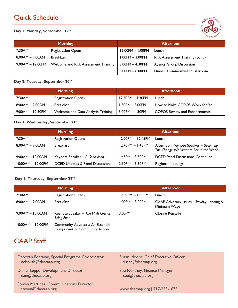# Quick Schedule

**Day 1: Monday, September 19th**



| <b>Morning</b>     |                                      | <b>Afternoon</b>   |                                  |
|--------------------|--------------------------------------|--------------------|----------------------------------|
| 7:30AM             | <b>Registration Opens</b>            | $12:00PM - 1:00PM$ | Lunch                            |
| $8:00AM - 9:00AM$  | <b>Breakfast</b>                     | $1:00PM - 3:00PM$  | Risk Assessment Training (cont.) |
| $9:00AM - 12:00PM$ | Welcome and Risk Assessment Training | $3:00PM - 4:30PM$  | <b>Agency Group Discussion</b>   |
|                    |                                      | $6:00PM - 8:00PM$  | Dinner: Commonwealth Ballroom    |

## **Day 2: Tuesday, September 20th**

|                  | <b>Morning</b>                     |                      | <b>Afternoon</b>                     |
|------------------|------------------------------------|----------------------|--------------------------------------|
| 7:30AM           | <b>Registration Opens</b>          | $12:30PM - 1:30PM$   | Lunch                                |
| 8:00AM - 9:00AM  | <b>Breakfast</b>                   | $1:30PM - 3:00PM$    | How to Make COPOS Work for You       |
| 9:00AM - 12:30PM | Welcome and Data Analysis Training | $3:00$ PM $-4:30$ PM | <b>COPOS Review and Enhancements</b> |

### **Day 3: Wednesday, September 21st**

|                     | <b>Morning</b>                   |                     | <b>Afternoon</b>                                                               |
|---------------------|----------------------------------|---------------------|--------------------------------------------------------------------------------|
| 7:30AM              | <b>Registration Opens</b>        | $12:00PM - 12:45PM$ | Lunch                                                                          |
| $8:00AM - 9:00AM$   | <b>Breakfast</b>                 | $12:45PM - 1:45PM$  | Afternoon Keynote Speaker - Becoming<br>The Change We Want to See in the World |
| $9:00AM - 10:00AM$  | Keynote Speaker - A Good Man     | $1:45PM - 3:30PM$   | <b>DCED Panel Discussions Continued</b>                                        |
| $10:00AM - 12:00PM$ | DCED Updates & Panel Discussions | $3:30PM - 5:30PM$   | <b>Regional Meetings</b>                                                       |

## **Day 4: Thursday, September 22nd**

| <b>Morning</b>      |                                                                          | <b>Afternoon</b>   |                                                         |
|---------------------|--------------------------------------------------------------------------|--------------------|---------------------------------------------------------|
| 7:30AM              | <b>Registration Opens</b>                                                | $12:00PM - 1:00PM$ | Lunch                                                   |
| $8:00AM - 9:00AM$   | <b>Breakfast</b>                                                         | $1:00PM - 3:00PM$  | CAAP Advocacy Issues - Payday Lending &<br>Minimum Wage |
| $9:00AM - 10:00AM$  | Keynote Speaker - The High Cost of<br><b>Being Poor</b>                  | $3:00$ PM          | <b>Closing Remarks</b>                                  |
| $10:00AM - 12:00PM$ | Community Advocacy: An Essential<br><b>Component of Community Action</b> |                    |                                                         |

## CAAP Staff

| Deborah Fontaine, Special Programs Coordinator                        | Susan Moore, Chief Executive Officer |
|-----------------------------------------------------------------------|--------------------------------------|
| deborah@thecaap.org                                                   | susan@thecaap.org                    |
| Daniel Leppo, Development Director                                    | Sue Northey, Finance Manager         |
| $dan@$ thecaap.org                                                    | sue@thecaap.org                      |
| <b>Steven Martinez, Communications Director</b><br>steven@thecaap.org | www.thecaap.org   717-233-1075       |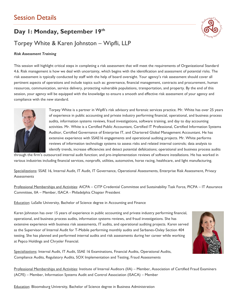## Session Details

## **Day 1: Monday, September 19th**



## Torpey White & Karen Johnston – Wipfli, LLP

#### *Risk Assessment Training*

This session will highlight critical steps in completing a risk assessment that will meet the requirements of Organizational Standard 4.6. Risk management is how we deal with uncertainty, which begins with the identification and assessment of potential risks. The risk assessment is typically conducted by staff with the help of board oversight. Your agency's risk assessment should cover all pertinent aspects of operations and include topics such as: governance, financial management, contracts and procurement, human resources, communication, service delivery, protecting vulnerable populations, transportation, and property. By the end of this session, your agency will be equipped with the knowledge to ensure a smooth and effective risk assessment of your agency and compliance with the new standard.



Torpey White is a partner in Wipfli's risk advisory and forensic services practice. Mr. White has over 25 years of experience in public accounting and private industry performing financial, operational, and business process audits, information systems reviews, fraud investigations, software training, and day to day accounting activities. Mr. White is a Certified Public Accountant, Certified IT Professional, Certified Information Systems Auditor, Certified Governance of Enterprise IT, and Chartered Global Management Accountant. He has extensive experience with SSAE16 engagements and operational auditing projects. Mr. White performs reviews of information technology systems to assess risks and related internal controls; data analysis to identify trends, increase efficiencies and detect potential defalcations; operational and business process audits

through the firm's outsourced internal audit function; and pre-implementation reviews of software installations. He has worked in various industries including financial services, nonprofit, utilities, automotive, horse racing, healthcare, and light manufacturing.

Specializations: SSAE 16, Internal Audit, IT Audit, IT Governance, Operational Assessments, Enterprise Risk Assessment, Privacy **Assessments** 

Professional Memberships and Activities: AICPA – CITP Credential Committee and Sustainability Task Force, PICPA – IT Assurance Committee, IIA – Member, ISACA - Philadelphia Chapter President

Education: LaSalle University, Bachelor of Science degree in Accounting and Finance

Karen Johnston has over 15 years of experience in public accounting and private industry performing financial, operational, and business process audits, information systems reviews, and fraud investigations. She has extensive experience with business risk assessments, IT audits, and operational auditing projects. Karen served as the Supervisor of Internal Audit for T-Mobile performing monthly audits and Sarbanes-Oxley Section 404 testing. She has planned and performed internal audits and risk assessments during her career while working at Pepco Holdings and Chrysler Financial.

Specializations: Internal Audit, IT Audit, SSAE 16 Examinations, Financial Audits, Operational Audits, Compliance Audits, Regulatory Audits, SOX Implementation and Testing, Fraud Assessments



Professional Memberships and Activities: Institute of Internal Auditors (IIA) – Member, Association of Certified Fraud Examiners (ACFE) – Member, Information Systems Audit and Control Association (ISACA) – Member

Education: Bloomsburg University, Bachelor of Science degree in Business Administration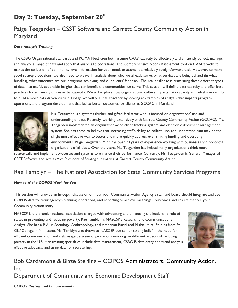## **Day 2: Tuesday, September 20th**

## Paige Teegarden – CSST Software and Garrett County Community Action in Maryland

#### *Data Analysis Training*

The CSBG Organizational Standards and ROMA Next Gen both assume CAAs' capacity to effectively and efficiently collect, manage, and analyze a range of data and apply that analysis to operations. The Comprehensive Needs Assessment tool on CAAP's website makes the collection of community level information for your needs assessment a relatively straightforward task. However, to make good strategic decisions, we also need to weave in analysis about who we already serve, what services are being utilized (in what bundles), what outcomes are our programs achieving, and our clients' feedback. The real challenge is translating these different types of data into useful, actionable insights that can benefit the communities we serve. This session will define data capacity and offer best practices for enhancing this essential capacity. We will explore how organizational culture impacts data capacity and what you can do to build a more data driven culture. Finally, we will pull it all together by looking at examples of analysis that impacts program operations and program development that led to better outcomes for clients at GCCAC in Maryland.



Ms. Teegarden is a systems thinker and gifted facilitator who is focused on organizations' use and understanding of data. Recently, working extensively with Garrett County Community Action (GCCAC), Ms. Teegarden implemented an organization-wide client tracking system and electronic document management system. She has come to believe that increasing staff's ability to collect, use, and understand data may be the single most effective way to better and more quickly address ever shifting funding and operating environments. Paige Teegarden, MPP, has over 20 years of experience working with businesses and nonprofit organizations of all sizes. Over the years, Ms. Teegarden has helped many organizations think more

strategically and implement processes and systems to enhance their performance. Currently, Ms. Teegarden is General Manager of CSST Software and acts as Vice President of Strategic Initiatives at Garrett County Community Action.

## Rae Tamblyn – The National Association for State Community Services Programs

#### *How to Make COPOS Work for You*

This session will provide an in-depth discussion on how your Community Action Agency's staff and board should integrate and use COPOS data for your agency's planning, operations, and reporting to achieve meaningful outcomes and results that tell your Community Action story.

NASCSP is the premier national association charged with advocating and enhancing the leadership role of states in preventing and reducing poverty. Rae Tamblyn is NASCSP's Research and Communications Analyst. She has a B.A. in Sociology, Anthropology, and American Racial and Multicultural Studies from St. Olaf College in Minnesota. Ms. Tamblyn was drawn to NASCSP due to her strong belief in the need for efficient communication and data usage between organizations working on different aspects of reducing poverty in the U.S. Her training specialties include data management, CSBG IS data entry and trend analysis, effective advocacy, and using data for storytelling.



# Bob Cardamone & Blaze Sterling – COPOS Administrators, Community Action, Inc.

Department of Community and Economic Development Staff

*COPOS Review and Enhancements*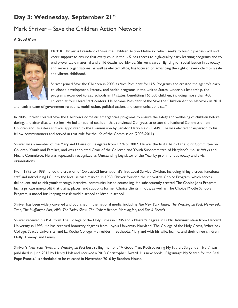## **Day 3: Wednesday, September 21st**

## Mark Shriver – Save the Children Action Network

#### *A Good Man*



Mark K. Shriver is President of Save the Children Action Network, which seeks to build bipartisan will and voter support to ensure that every child in the U.S. has access to high-quality early learning programs and to end preventable maternal and child deaths worldwide. Shriver's career fighting for social justice in advocacy and service organizations, as well as elected office, has focused on advancing the right of every child to a safe and vibrant childhood.

Shriver joined Save the Children in 2003 as Vice President for U.S. Programs and created the agency's early childhood development, literacy, and health programs in the United States. Under his leadership, the programs expanded to 220 schools in 17 states, benefitting 165,000 children, including more than 400 children at four Head Start centers. He became President of the Save the Children Action Network in 2014

and leads a team of government relations, mobilization, political action, and communications staff.

In 2005, Shriver created Save the Children's domestic emergencies programs to ensure the safety and wellbeing of children before, during, and after disaster strikes. He led a national coalition that convinced Congress to create the National Commission on Children and Disasters and was appointed to the Commission by Senator Harry Reid (D-NV). He was elected chairperson by his fellow commissioners and served in that role for the life of the Commission (2008-2011).

Shriver was a member of the Maryland House of Delegates from 1994 to 2002. He was the first Chair of the Joint Committee on Children, Youth and Families, and was appointed Chair of the Children and Youth Subcommittee of Maryland's House Ways and Means Committee. He was repeatedly recognized as Outstanding Legislator of the Year by prominent advocacy and civic organizations.

From 1995 to 1998, he led the creation of Qwest/LCI International's first Local Service Division, including hiring a cross-functional staff and introducing LCI into the local service market. In 1988, Shriver founded the innovative Choice Program, which serves delinquent and at-risk youth through intensive, community-based counseling. He subsequently created The Choice Jobs Program, Inc., a private non-profit that trains, places, and supports former Choice clients in jobs, as well as The Choice Middle Schools Program, a model for keeping at-risk middle school children in school.

Shriver has been widely covered and published in the national media, including *The New York Times*, *The Washington Post*, *Newsweek*, *Time*, *The Huffington Post*, *NPR*, *The Today Show*, *The Colbert Report*, *Morning Joe*, and *Fox & Friends*.

Shriver received his B.A. from The College of the Holy Cross in 1986 and a Master's degree in Public Administration from Harvard University in 1993. He has received honorary degrees from Loyola University Maryland, The College of the Holy Cross, Wheelock College, Seattle University, and La Roche College. He resides in Bethesda, Maryland with his wife, Jeanne, and their three children, Molly, Tommy, and Emma.

Shriver's *New York Times* and *Washington Post* best-selling memoir, "A Good Man: Rediscovering My Father, Sargent Shriver," was published in June 2012 by Henry Holt and received a 2013 Christopher Award. His new book, "Pilgrimage: My Search for the Real Pope Francis," is scheduled to be released in November 2016 by Random House.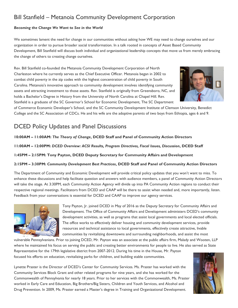## Bill Stanfield – Metanoia Community Development Corporation

#### *Becoming the Change We Want to See in the World*

We sometimes lament the need for change in our communities without asking how WE may need to change ourselves and our organization in order to pursue broader social transformation. In a talk rooted in concepts of Asset Based Community Development, Bill Stanfield will discuss both individual and organizational leadership concepts that move us from merely embracing the change of others to creating change ourselves.

Rev. Bill Stanfield co-founded the Metanoia Community Development Corporation of North Charleston where he currently serves as the Chief Executive Officer. Metanoia began in 2002 to combat child poverty in the zip codes with the highest concentration of child poverty in South Carolina. Metanoia's innovative approach to community development involves identifying community assets and attracting investment to those assets. Rev. Stanfield is originally from Greensboro, NC, and holds a Bachelor's Degree in History from the University of North Carolina at Chapel Hill. Rev. Stanfield is a graduate of the SC Governor's School for Economic Development, The SC Department



of Commerce Economic Developer's School, and the SC Community Development Institute of Clemson University, Benedict College and the SC Association of CDCs. He and his wife are the adoptive parents of two boys from Ethiopia, ages 6 and 9.

## DCED Policy Updates and Panel Discussions

#### **10:00AM – 11:00AM:** *The Theory of Change***, DCED Staff and Panel of Community Action Directors**

**11:00AM – 12:00PM:** *DCED Overview: ACSI Results, Program Directives, Fiscal Issues, Discussion***, DCED Staff**

**1:45PM – 2:15PM: Tony Payton, DCED Deputy Secretary for Community Affairs and Development**

#### **2:15PM – 3:30PM:** *Community Development Best Practices***, DCED Staff and Panel of Community Action Directors**

The Department of Community and Economic Development will provide critical policy updates that you won't want to miss. To enhance these discussions and help facilitate question and answers with audience members, a panel of Community Action Directors will take the stage. At 3:30PM, each Community Action Agency will divide up into PA Community Action regions to conduct their respective regional meetings. Facilitators from DCED and CAAP will be there to assist when needed and, more importantly, listen. Feedback from your conversations is essential for DCED and CAAP to improve our agency services.



Tony Payton, Jr. joined DCED in May of 2016 as the Deputy Secretary for Community Affairs and Development. The Office of Community Affairs and Development administers DCED's community development activities, as well as programs that assist local governments and local elected officials. The office works to effectively deliver housing and community development services, provide resources and technical assistance to local governments, effectively create attractive, livable communities by revitalizing downtowns and surrounding neighborhoods, and assist the most

vulnerable Pennsylvanians. Prior to joining DCED, Mr. Payton was an associate at the public affairs firm, Malady and Wooten, LLP where he maintained his focus on serving the public and creating better environments for people to live. He also served as State Representative for the 179th legislative district from 2007-2012. During his time in the House, Mr. Payton focused his efforts on education, revitalizing parks for children, and building stable communities.

Lynette Praster is the Director of DCED's Center for Community Services. Ms. Praster has worked with the Community Services Block Grant and other related programs for nine years, and she has worked for the Commonwealth of Pennsylvania for nearly 18 years. Prior to her services with the Commonwealth, Ms. Praster worked in Early Care and Education, Big Brothers/Big Sisters, Children and Youth Services, and Alcohol and Drug Prevention. In 2009, Ms. Praster earned a Master's degree in Training and Organizational Development.

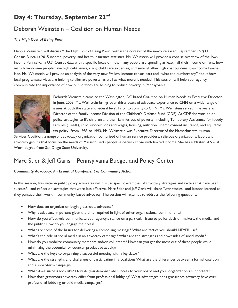## **Day 4: Thursday, September 22nd**

## Deborah Weinstein – Coalition on Human Needs

#### *The High Cost of Being Poor*

Debbie Weinstein will discuss "The High Cost of Being Poor" within the context of the newly released (September 15<sup>th</sup>) U.S. Census Bureau's 2015 income, poverty, and health insurance statistics. Ms. Weinstein will provide a concise overview of the lowincome Pennsylvania U.S. Census data with a specific focus on how many people are spending at least half their income on rent, how many low-income people have high debt levels, rising child care expenses, and several other high cost burdens low-income families face. Ms. Weinstein will provide an analysis of the very new PA low-income census data and "what the numbers say" about how local programs/services are helping to alleviate poverty, as well as what more is needed. This session will help your agency communicate the importance of how our services are helping to reduce poverty in Pennsylvania.



Deborah Weinstein came to the Washington, DC based Coalition on Human Needs as Executive Director in June, 2003. Ms. Weinstein brings over thirty years of advocacy experience to CHN on a wide range of issues at both the state and federal level. Prior to coming to CHN, Ms. Weinstein served nine years as Director of the Family Income Division of the Children's Defense Fund (CDF). At CDF she worked on policy strategies to lift children and their families out of poverty, including Temporary Assistance for Needy Families (TANF), child support, jobs and wages, housing, nutrition, unemployment insurance, and equitable tax policy. From 1983 to 1993, Ms. Weinstein was Executive Director of the Massachusetts Human

Services Coalition, a nonprofit advocacy organization comprised of human service providers, religious organizations, labor, and advocacy groups that focus on the needs of Massachusetts people, especially those with limited income. She has a Master of Social Work degree from San Diego State University.

## Marc Stier & Jeff Garis – Pennsylvania Budget and Policy Center

#### *Community Advocacy: An Essential Component of Community Action*

In this session, two veteran public policy advocates will discuss specific examples of advocacy strategies and tactics that have been successful and reflect on strategies that were less effective. Marc Stier and Jeff Garis will share "war stories" and lessons learned as they pursued their work in community-based advocacy. The session will attempt to address the following questions:

- How does an organization begin grassroots advocacy?
- Why is advocacy important given the time required in light of other organizational commitments?
- How do you effectively communicate your agency's stance on a particular issue to policy decision-makers, the media, and the public? How do you engage the press?
- What are some of the basics for delivering a compelling message? What are tactics you should NEVER use?
- What's the role of social media in an advocacy campaign? What are the strengths and downsides of social media?
- How do you mobilize community members and/or volunteers? How can you get the most out of these people while minimizing the potential for counter-productive activity?
- What are the keys to organizing a successful meeting with a legislator?
- What are the strengths and challenges of participating in a coalition? What are the differences between a formal coalition and a short-term campaign?
- What does success look like? How do you demonstrate success to your board and your organization's supporters?
- How does grassroots advocacy differ from professional lobbying? What advantages does grassroots advocacy have over professional lobbying or paid media campaigns?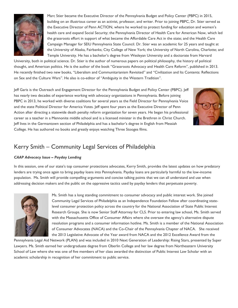

Marc Stier became the Executive Director of the Pennsylvania Budget and Policy Center (PBPC) in 2015, building on an illustrious career as an activist, professor, and writer. Prior to joining PBPC, Dr. Stier served as the Executive Director of Penn ACTION, where he worked to protect funding for education and women's health care and expand Social Security; the Pennsylvania Director of Health Care for American Now, which led the grassroots effort in support of what became the Affordable Care Act in the state; and the Health Care Campaign Manager for SEIU Pennsylvania State Council. Dr. Stier was an academic for 25 years and taught at the University of Alaska, Fairbanks; City College of New York; the University of North Carolina, Charlotte; and Temple University. He has a bachelor's degree from Wesleyan University and a doctorate from Harvard

University, both in political science. Dr. Stier is the author of numerous papers on political philosophy, the history of political thought, and American politics. He is the author of the book "Grassroots Advocacy and Health Care Reform", published in 2013. He recently finished two new books, "Liberalism and Communitarianism Revisited" and "Civilization and Its Contents: Reflections on Sex and the Culture Wars". He also is co-editor of "Ambiguity in the Western Tradition".

Jeff Garis is the Outreach and Engagement Director for the Pennsylvania Budget and Policy Center (PBPC). Jeff has nearly two decades of experience working with advocacy organizations in Pennsylvania. Before joining PBPC in 2013, he worked with diverse coalitions for several years as the Field Director for Pennsylvania Voice and the state Political Director for America Votes. Jeff spent four years as the Executive Director of Penn Action after directing a statewide death penalty reform organization for seven years. He began his professional career as a teacher in a Mennonite middle school and is a licensed minister in the Brethren in Christ Church. Jeff lives in the Germantown section of Philadelphia and has a bachelor's degree in English from Messiah College. He has authored no books and greatly enjoys watching Three Stooges films.



## Kerry Smith – Community Legal Services of Philadelphia

#### *CAAP Advocacy Issue – Payday Lending*

In this session, one of our state's top consumer protections advocates, Kerry Smith, provides the latest updates on how predatory lenders are trying once again to bring payday loans into Pennsylvania. Payday loans are particularly harmful to the low-income population. Ms. Smith will provide compelling arguments and concise talking points that we can all understand and use when addressing decision makers and the public on the oppressive tactics used by payday lenders that perpetuate poverty.



Ms. Smith has a long standing commitment to consumer advocacy and public interest work. She joined Community Legal Services of Philadelphia as an Independence Foundation Fellow after coordinating statelevel consumer protection policy across the country for the National Association of State Public Interest Research Groups. She is now Senior Staff Attorney for CLS. Prior to entering law school, Ms. Smith served with the Massachusetts Office of Consumer Affairs where she oversaw the agency's alternative dispute resolution programs and a consumer information hotline. Ms. Smith is a member of the National Association of Consumer Advocates (NACA) and the Co-Chair of the Pennsylvania Chapter of NACA. She received the 2013 Legislative Advocate of the Year award from NACA and the 2012 Excellence Award from the

Pennsylvania Legal Aid Network (PLAN) and was included in 2010 Next Generation of Leadership: Rising Stars, presented by Super Lawyers. Ms. Smith earned her undergraduate degree from Oberlin College and her law degree from Northeastern University School of Law where she was one of five members of her class awarded the distinction of Public Interest Law Scholar with an academic scholarship in recognition of her commitment to public service.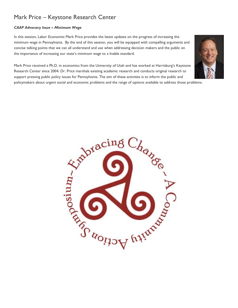## Mark Price – Keystone Research Center

#### *CAAP Advocacy Issue – Minimum Wage*

In this session, Labor Economist Mark Price provides the latest updates on the progress of increasing the minimum wage in Pennsylvania. By the end of this session, you will be equipped with compelling arguments and concise talking points that we can all understand and use when addressing decision makers and the public on the importance of increasing our state's minimum wage to a livable standard.

Mark Price received a Ph.D. in economics from the University of Utah and has worked at Harrisburg's Keystone Research Center since 2004. Dr. Price marshals existing academic research and conducts original research to support pressing public policy issues for Pennsylvania. The aim of these activities is to inform the public and